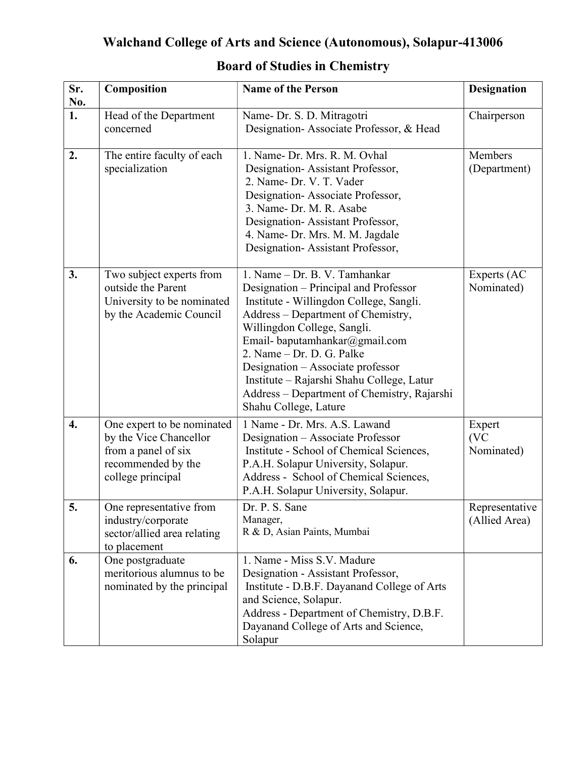| Sr.<br>No.         | Composition                                                                                                            | <b>Name of the Person</b>                                                                                                                                                                                                                                                                                                                                                                                       | <b>Designation</b>              |
|--------------------|------------------------------------------------------------------------------------------------------------------------|-----------------------------------------------------------------------------------------------------------------------------------------------------------------------------------------------------------------------------------------------------------------------------------------------------------------------------------------------------------------------------------------------------------------|---------------------------------|
| 1.                 | Head of the Department<br>concerned                                                                                    | Name- Dr. S. D. Mitragotri<br>Designation-Associate Professor, & Head                                                                                                                                                                                                                                                                                                                                           | Chairperson                     |
| 2.                 | The entire faculty of each<br>specialization                                                                           | 1. Name- Dr. Mrs. R. M. Ovhal<br>Designation-Assistant Professor,<br>2. Name- Dr. V. T. Vader<br>Designation-Associate Professor,<br>3. Name- Dr. M. R. Asabe<br>Designation-Assistant Professor,<br>4. Name- Dr. Mrs. M. M. Jagdale<br>Designation-Assistant Professor,                                                                                                                                        | Members<br>(Department)         |
| 3.                 | Two subject experts from<br>outside the Parent<br>University to be nominated<br>by the Academic Council                | 1. Name – Dr. B. V. Tamhankar<br>Designation – Principal and Professor<br>Institute - Willingdon College, Sangli.<br>Address - Department of Chemistry,<br>Willingdon College, Sangli.<br>Email- baputamhankar@gmail.com<br>2. Name - Dr. D. G. Palke<br>Designation - Associate professor<br>Institute - Rajarshi Shahu College, Latur<br>Address – Department of Chemistry, Rajarshi<br>Shahu College, Lature | Experts (AC<br>Nominated)       |
| $\boldsymbol{4}$ . | One expert to be nominated<br>by the Vice Chancellor<br>from a panel of six<br>recommended by the<br>college principal | 1 Name - Dr. Mrs. A.S. Lawand<br>Designation - Associate Professor<br>Institute - School of Chemical Sciences,<br>P.A.H. Solapur University, Solapur.<br>Address - School of Chemical Sciences,<br>P.A.H. Solapur University, Solapur.                                                                                                                                                                          | Expert<br>(VC<br>Nominated)     |
| 5.                 | One representative from<br>industry/corporate<br>sector/allied area relating<br>to placement                           | Dr. P. S. Sane<br>Manager,<br>R & D, Asian Paints, Mumbai                                                                                                                                                                                                                                                                                                                                                       | Representative<br>(Allied Area) |
| 6.                 | One postgraduate<br>meritorious alumnus to be<br>nominated by the principal                                            | 1. Name - Miss S.V. Madure<br>Designation - Assistant Professor,<br>Institute - D.B.F. Dayanand College of Arts<br>and Science, Solapur.<br>Address - Department of Chemistry, D.B.F.<br>Dayanand College of Arts and Science,<br>Solapur                                                                                                                                                                       |                                 |

## Board of Studies in Chemistry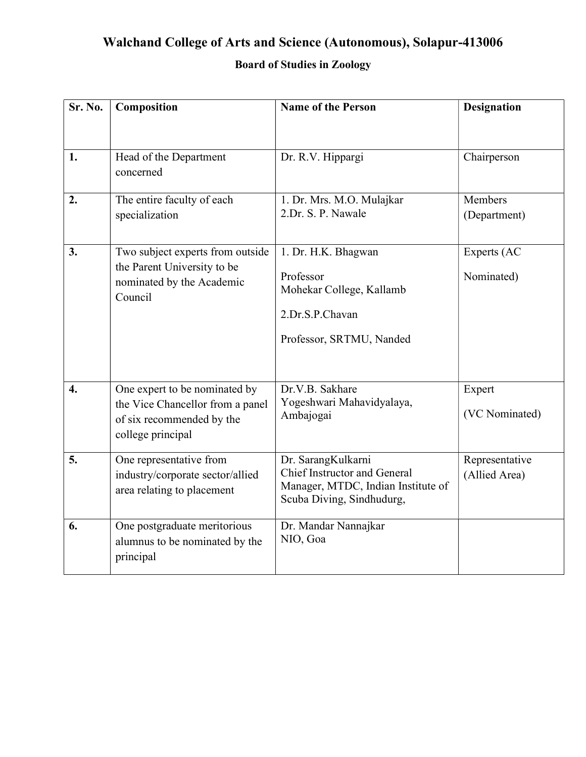### Board of Studies in Zoology

| Sr. No.          | Composition                                                                                                         | <b>Name of the Person</b>                                                                                                    | <b>Designation</b>              |
|------------------|---------------------------------------------------------------------------------------------------------------------|------------------------------------------------------------------------------------------------------------------------------|---------------------------------|
| 1.               | Head of the Department<br>concerned                                                                                 | Dr. R.V. Hippargi                                                                                                            | Chairperson                     |
| 2.               | The entire faculty of each<br>specialization                                                                        | 1. Dr. Mrs. M.O. Mulajkar<br>2.Dr. S. P. Nawale                                                                              | Members<br>(Department)         |
| 3.               | Two subject experts from outside<br>the Parent University to be<br>nominated by the Academic<br>Council             | 1. Dr. H.K. Bhagwan<br>Professor<br>Mohekar College, Kallamb<br>2.Dr.S.P.Chavan<br>Professor, SRTMU, Nanded                  | Experts (AC<br>Nominated)       |
| $\overline{4}$ . | One expert to be nominated by<br>the Vice Chancellor from a panel<br>of six recommended by the<br>college principal | Dr.V.B. Sakhare<br>Yogeshwari Mahavidyalaya,<br>Ambajogai                                                                    | Expert<br>(VC Nominated)        |
| 5.               | One representative from<br>industry/corporate sector/allied<br>area relating to placement                           | Dr. SarangKulkarni<br><b>Chief Instructor and General</b><br>Manager, MTDC, Indian Institute of<br>Scuba Diving, Sindhudurg, | Representative<br>(Allied Area) |
| 6.               | One postgraduate meritorious<br>alumnus to be nominated by the<br>principal                                         | Dr. Mandar Nannajkar<br>NIO, Goa                                                                                             |                                 |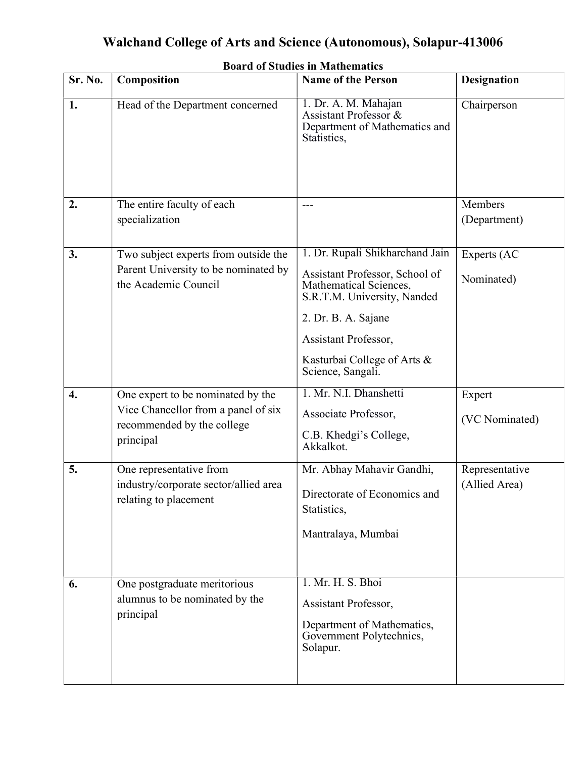|         | <b>Board of Studies in Mathematics</b>                            |                                                                                               |                    |  |  |
|---------|-------------------------------------------------------------------|-----------------------------------------------------------------------------------------------|--------------------|--|--|
| Sr. No. | Composition                                                       | <b>Name of the Person</b>                                                                     | <b>Designation</b> |  |  |
| 1.      | Head of the Department concerned                                  | 1. Dr. A. M. Mahajan<br>Assistant Professor &<br>Department of Mathematics and<br>Statistics, | Chairperson        |  |  |
| 2.      | The entire faculty of each                                        | ---                                                                                           | Members            |  |  |
|         | specialization                                                    |                                                                                               | (Department)       |  |  |
| 3.      | Two subject experts from outside the                              | 1. Dr. Rupali Shikharchand Jain                                                               | Experts (AC        |  |  |
|         | Parent University to be nominated by<br>the Academic Council      | Assistant Professor, School of<br>Mathematical Sciences,<br>S.R.T.M. University, Nanded       | Nominated)         |  |  |
|         |                                                                   | 2. Dr. B. A. Sajane                                                                           |                    |  |  |
|         |                                                                   | Assistant Professor,                                                                          |                    |  |  |
|         |                                                                   | Kasturbai College of Arts &<br>Science, Sangali.                                              |                    |  |  |
| 4.      | One expert to be nominated by the                                 | 1. Mr. N.I. Dhanshetti                                                                        | Expert             |  |  |
|         | Vice Chancellor from a panel of six<br>recommended by the college | Associate Professor,                                                                          | (VC Nominated)     |  |  |
|         | principal                                                         | C.B. Khedgi's College,<br>Akkalkot.                                                           |                    |  |  |
| 5.      | One representative from                                           | Mr. Abhay Mahavir Gandhi,                                                                     | Representative     |  |  |
|         | industry/corporate sector/allied area<br>relating to placement    | Directorate of Economics and<br>Statistics,                                                   | (Allied Area)      |  |  |
|         |                                                                   | Mantralaya, Mumbai                                                                            |                    |  |  |
|         |                                                                   |                                                                                               |                    |  |  |
| 6.      | One postgraduate meritorious                                      | 1. Mr. H. S. Bhoi                                                                             |                    |  |  |
|         | alumnus to be nominated by the<br>principal                       | Assistant Professor,                                                                          |                    |  |  |
|         |                                                                   | Department of Mathematics,<br>Government Polytechnics,<br>Solapur.                            |                    |  |  |
|         |                                                                   |                                                                                               |                    |  |  |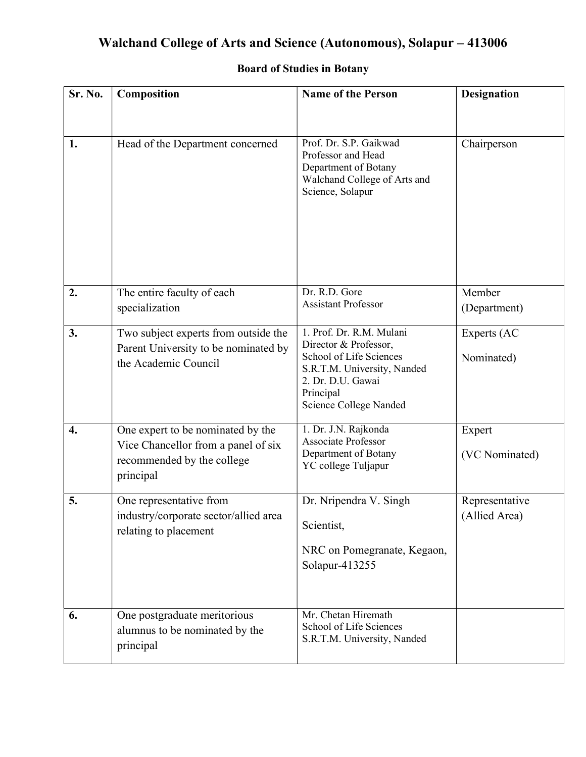| Sr. No.            | Composition                                                                                                         | <b>Name of the Person</b>                                                                                                                                               | <b>Designation</b>              |
|--------------------|---------------------------------------------------------------------------------------------------------------------|-------------------------------------------------------------------------------------------------------------------------------------------------------------------------|---------------------------------|
| 1.                 | Head of the Department concerned                                                                                    | Prof. Dr. S.P. Gaikwad<br>Professor and Head<br>Department of Botany<br>Walchand College of Arts and<br>Science, Solapur                                                | Chairperson                     |
| 2.                 | The entire faculty of each<br>specialization                                                                        | Dr. R.D. Gore<br><b>Assistant Professor</b>                                                                                                                             | Member<br>(Department)          |
| 3.                 | Two subject experts from outside the<br>Parent University to be nominated by<br>the Academic Council                | 1. Prof. Dr. R.M. Mulani<br>Director & Professor,<br>School of Life Sciences<br>S.R.T.M. University, Nanded<br>2. Dr. D.U. Gawai<br>Principal<br>Science College Nanded | Experts (AC<br>Nominated)       |
| $\boldsymbol{4}$ . | One expert to be nominated by the<br>Vice Chancellor from a panel of six<br>recommended by the college<br>principal | 1. Dr. J.N. Rajkonda<br>Associate Professor<br>Department of Botany<br>YC college Tuljapur                                                                              | Expert<br>(VC Nominated)        |
| 5.                 | One representative from<br>industry/corporate sector/allied area<br>relating to placement                           | Dr. Nripendra V. Singh<br>Scientist,<br>NRC on Pomegranate, Kegaon,<br>Solapur-413255                                                                                   | Representative<br>(Allied Area) |
| 6.                 | One postgraduate meritorious<br>alumnus to be nominated by the<br>principal                                         | Mr. Chetan Hiremath<br>School of Life Sciences<br>S.R.T.M. University, Nanded                                                                                           |                                 |

### Board of Studies in Botany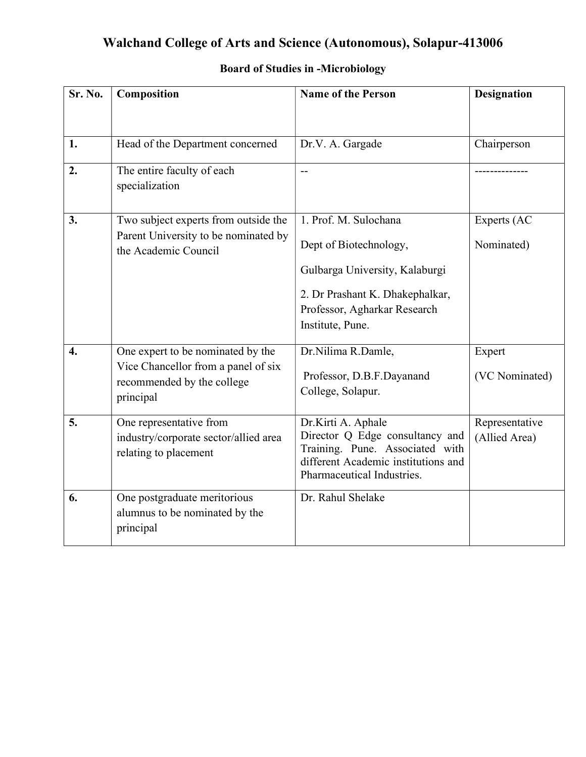| Sr. No.          | Composition                                                       | <b>Name of the Person</b>                                          | <b>Designation</b> |
|------------------|-------------------------------------------------------------------|--------------------------------------------------------------------|--------------------|
|                  |                                                                   |                                                                    |                    |
| 1.               | Head of the Department concerned                                  | Dr.V. A. Gargade                                                   | Chairperson        |
| 2.               | The entire faculty of each<br>specialization                      | $-$                                                                |                    |
| 3.               | Two subject experts from outside the                              | 1. Prof. M. Sulochana                                              | Experts (AC        |
|                  | Parent University to be nominated by<br>the Academic Council      | Dept of Biotechnology,                                             | Nominated)         |
|                  |                                                                   | Gulbarga University, Kalaburgi                                     |                    |
|                  |                                                                   | 2. Dr Prashant K. Dhakephalkar,                                    |                    |
|                  |                                                                   | Professor, Agharkar Research                                       |                    |
|                  |                                                                   | Institute, Pune.                                                   |                    |
| $\overline{4}$ . | One expert to be nominated by the                                 | Dr.Nilima R.Damle,                                                 | Expert             |
|                  | Vice Chancellor from a panel of six<br>recommended by the college | Professor, D.B.F.Dayanand                                          | (VC Nominated)     |
|                  | principal                                                         | College, Solapur.                                                  |                    |
| 5.               | One representative from                                           | Dr.Kirti A. Aphale                                                 | Representative     |
|                  | industry/corporate sector/allied area                             | Director Q Edge consultancy and<br>Training. Pune. Associated with | (Allied Area)      |
|                  | relating to placement                                             | different Academic institutions and                                |                    |
|                  |                                                                   | Pharmaceutical Industries.                                         |                    |
| 6.               | One postgraduate meritorious                                      | Dr. Rahul Shelake                                                  |                    |
|                  | alumnus to be nominated by the<br>principal                       |                                                                    |                    |
|                  |                                                                   |                                                                    |                    |

#### Board of Studies in -Microbiology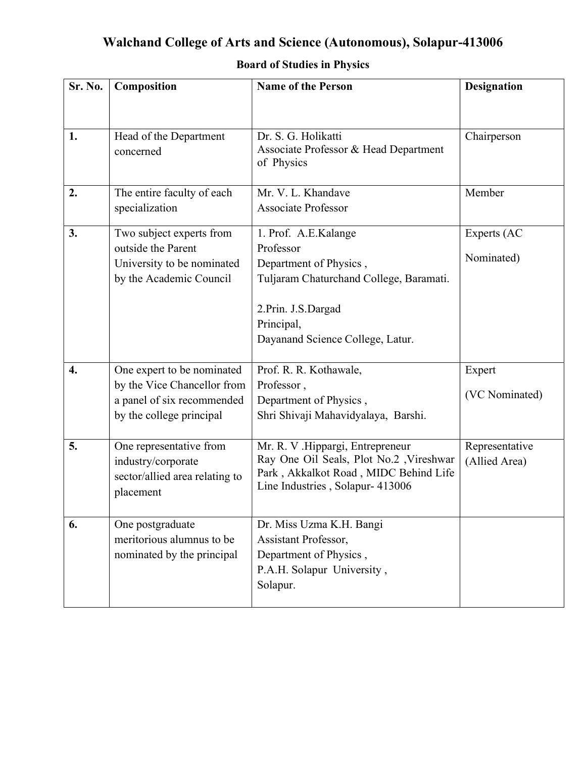| Sr. No. | Composition                                                                                  | <b>Name of the Person</b>                                                                                                                                 | <b>Designation</b>              |
|---------|----------------------------------------------------------------------------------------------|-----------------------------------------------------------------------------------------------------------------------------------------------------------|---------------------------------|
| 1.      | Head of the Department                                                                       | Dr. S. G. Holikatti                                                                                                                                       | Chairperson                     |
|         | concerned                                                                                    | Associate Professor & Head Department<br>of Physics                                                                                                       |                                 |
| 2.      | The entire faculty of each<br>specialization                                                 | Mr. V. L. Khandave<br><b>Associate Professor</b>                                                                                                          | Member                          |
| 3.      | Two subject experts from                                                                     | 1. Prof. A.E.Kalange                                                                                                                                      | Experts (AC                     |
|         | outside the Parent<br>University to be nominated<br>by the Academic Council                  | Professor<br>Department of Physics,<br>Tuljaram Chaturchand College, Baramati.                                                                            | Nominated)                      |
|         |                                                                                              | 2. Prin. J.S. Dargad<br>Principal,<br>Dayanand Science College, Latur.                                                                                    |                                 |
| 4.      | One expert to be nominated                                                                   | Prof. R. R. Kothawale,                                                                                                                                    | Expert                          |
|         | by the Vice Chancellor from<br>a panel of six recommended<br>by the college principal        | Professor,<br>Department of Physics,<br>Shri Shivaji Mahavidyalaya, Barshi.                                                                               | (VC Nominated)                  |
| 5.      | One representative from<br>industry/corporate<br>sector/allied area relating to<br>placement | Mr. R. V .Hippargi, Entrepreneur<br>Ray One Oil Seals, Plot No.2 , Vireshwar<br>Park, Akkalkot Road, MIDC Behind Life<br>Line Industries, Solapur- 413006 | Representative<br>(Allied Area) |
| 6.      | One postgraduate<br>meritorious alumnus to be<br>nominated by the principal                  | Dr. Miss Uzma K.H. Bangi<br>Assistant Professor,<br>Department of Physics,<br>P.A.H. Solapur University,<br>Solapur.                                      |                                 |

### Board of Studies in Physics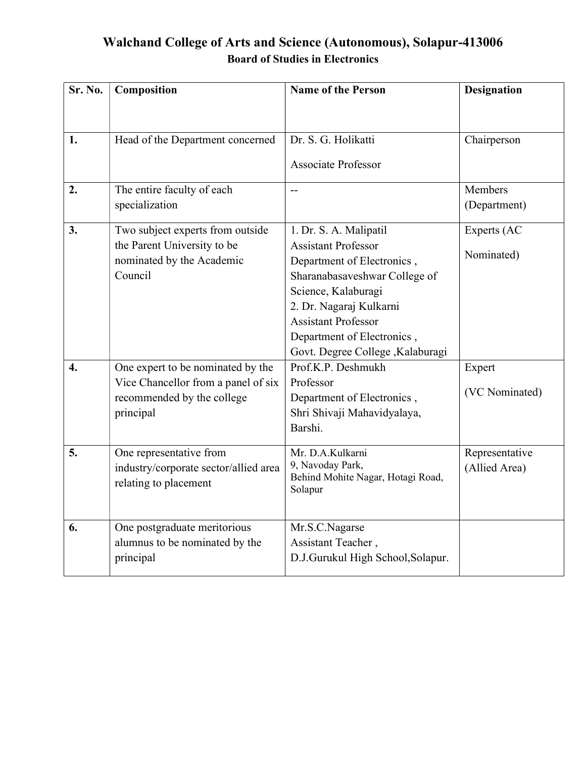### Walchand College of Arts and Science (Autonomous), Solapur-413006 Board of Studies in Electronics

| Sr. No.          | Composition                           | <b>Name of the Person</b>                             | <b>Designation</b> |
|------------------|---------------------------------------|-------------------------------------------------------|--------------------|
|                  |                                       |                                                       |                    |
| 1.               | Head of the Department concerned      | Dr. S. G. Holikatti                                   | Chairperson        |
|                  |                                       | <b>Associate Professor</b>                            |                    |
| 2.               | The entire faculty of each            | $-$                                                   | Members            |
|                  | specialization                        |                                                       | (Department)       |
| 3.               | Two subject experts from outside      | 1. Dr. S. A. Malipatil                                | Experts (AC        |
|                  | the Parent University to be           | <b>Assistant Professor</b>                            | Nominated)         |
|                  | nominated by the Academic             | Department of Electronics,                            |                    |
|                  | Council                               | Sharanabasaveshwar College of                         |                    |
|                  |                                       | Science, Kalaburagi                                   |                    |
|                  |                                       | 2. Dr. Nagaraj Kulkarni<br><b>Assistant Professor</b> |                    |
|                  |                                       | Department of Electronics,                            |                    |
|                  |                                       | Govt. Degree College , Kalaburagi                     |                    |
| $\overline{4}$ . | One expert to be nominated by the     | Prof.K.P. Deshmukh                                    | Expert             |
|                  | Vice Chancellor from a panel of six   | Professor                                             |                    |
|                  | recommended by the college            | Department of Electronics,                            | (VC Nominated)     |
|                  | principal                             | Shri Shivaji Mahavidyalaya,                           |                    |
|                  |                                       | Barshi.                                               |                    |
| 5.               | One representative from               | Mr. D.A.Kulkarni                                      | Representative     |
|                  | industry/corporate sector/allied area | 9, Navoday Park,<br>Behind Mohite Nagar, Hotagi Road, | (Allied Area)      |
|                  | relating to placement                 | Solapur                                               |                    |
|                  |                                       |                                                       |                    |
| 6.               | One postgraduate meritorious          | Mr.S.C.Nagarse                                        |                    |
|                  | alumnus to be nominated by the        | Assistant Teacher,                                    |                    |
|                  | principal                             | D.J.Gurukul High School, Solapur.                     |                    |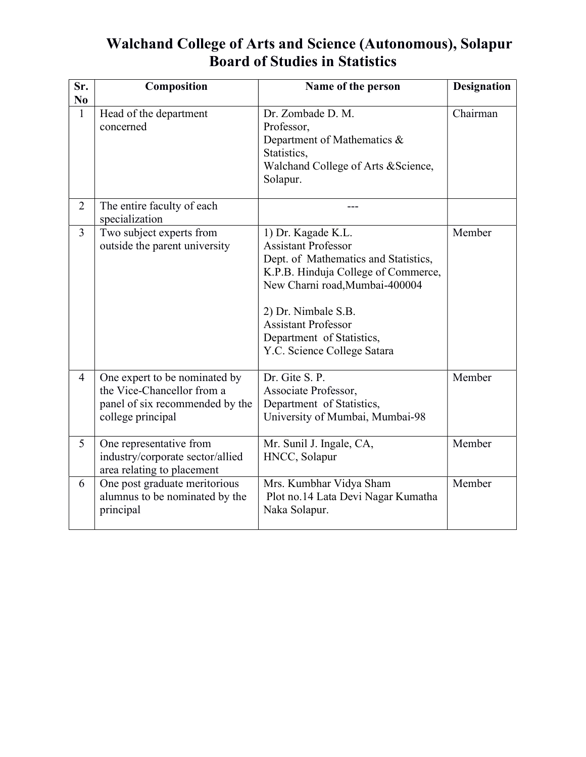### Walchand College of Arts and Science (Autonomous), Solapur Board of Studies in Statistics

| Sr.<br>N <sub>0</sub> | Composition                                                                                                         | Name of the person                                                                                                                                                                                                                                                                 | <b>Designation</b> |
|-----------------------|---------------------------------------------------------------------------------------------------------------------|------------------------------------------------------------------------------------------------------------------------------------------------------------------------------------------------------------------------------------------------------------------------------------|--------------------|
| $\mathbf{1}$          | Head of the department<br>concerned                                                                                 | Dr. Zombade D. M.<br>Professor,<br>Department of Mathematics &<br>Statistics,<br>Walchand College of Arts & Science,<br>Solapur.                                                                                                                                                   | Chairman           |
| $\overline{2}$        | The entire faculty of each<br>specialization                                                                        |                                                                                                                                                                                                                                                                                    |                    |
| $\overline{3}$        | Two subject experts from<br>outside the parent university                                                           | 1) Dr. Kagade K.L.<br><b>Assistant Professor</b><br>Dept. of Mathematics and Statistics,<br>K.P.B. Hinduja College of Commerce,<br>New Charni road, Mumbai-400004<br>2) Dr. Nimbale S.B.<br><b>Assistant Professor</b><br>Department of Statistics,<br>Y.C. Science College Satara | Member             |
| $\overline{4}$        | One expert to be nominated by<br>the Vice-Chancellor from a<br>panel of six recommended by the<br>college principal | Dr. Gite S. P.<br>Associate Professor,<br>Department of Statistics,<br>University of Mumbai, Mumbai-98                                                                                                                                                                             | Member             |
| 5                     | One representative from<br>industry/corporate sector/allied<br>area relating to placement                           | Mr. Sunil J. Ingale, CA,<br>HNCC, Solapur                                                                                                                                                                                                                                          | Member             |
| 6                     | One post graduate meritorious<br>alumnus to be nominated by the<br>principal                                        | Mrs. Kumbhar Vidya Sham<br>Plot no.14 Lata Devi Nagar Kumatha<br>Naka Solapur.                                                                                                                                                                                                     | Member             |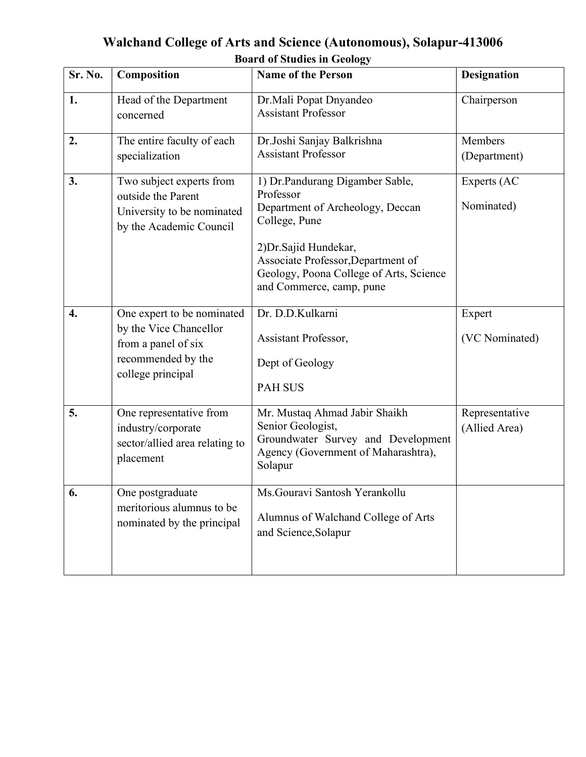| Walchand College of Arts and Science (Autonomous), Solapur-413006 |
|-------------------------------------------------------------------|
| <b>Board of Studies in Geology</b>                                |

| Sr. No.            | Composition                                                                                                            | <b>Name of the Person</b>                                                                                                                                                                                                                | <b>Designation</b>              |
|--------------------|------------------------------------------------------------------------------------------------------------------------|------------------------------------------------------------------------------------------------------------------------------------------------------------------------------------------------------------------------------------------|---------------------------------|
| 1.                 | Head of the Department<br>concerned                                                                                    | Dr.Mali Popat Dnyandeo<br><b>Assistant Professor</b>                                                                                                                                                                                     | Chairperson                     |
| 2.                 | The entire faculty of each<br>specialization                                                                           | Dr.Joshi Sanjay Balkrishna<br><b>Assistant Professor</b>                                                                                                                                                                                 | Members<br>(Department)         |
| 3.                 | Two subject experts from<br>outside the Parent<br>University to be nominated<br>by the Academic Council                | 1) Dr.Pandurang Digamber Sable,<br>Professor<br>Department of Archeology, Deccan<br>College, Pune<br>2) Dr. Sajid Hundekar,<br>Associate Professor, Department of<br>Geology, Poona College of Arts, Science<br>and Commerce, camp, pune | Experts (AC<br>Nominated)       |
| $\boldsymbol{4}$ . | One expert to be nominated<br>by the Vice Chancellor<br>from a panel of six<br>recommended by the<br>college principal | Dr. D.D.Kulkarni<br>Assistant Professor,<br>Dept of Geology<br><b>PAH SUS</b>                                                                                                                                                            | Expert<br>(VC Nominated)        |
| 5.                 | One representative from<br>industry/corporate<br>sector/allied area relating to<br>placement                           | Mr. Mustaq Ahmad Jabir Shaikh<br>Senior Geologist,<br>Groundwater Survey and Development<br>Agency (Government of Maharashtra),<br>Solapur                                                                                               | Representative<br>(Allied Area) |
| 6.                 | One postgraduate<br>meritorious alumnus to be<br>nominated by the principal                                            | Ms. Gouravi Santosh Yerankollu<br>Alumnus of Walchand College of Arts<br>and Science, Solapur                                                                                                                                            |                                 |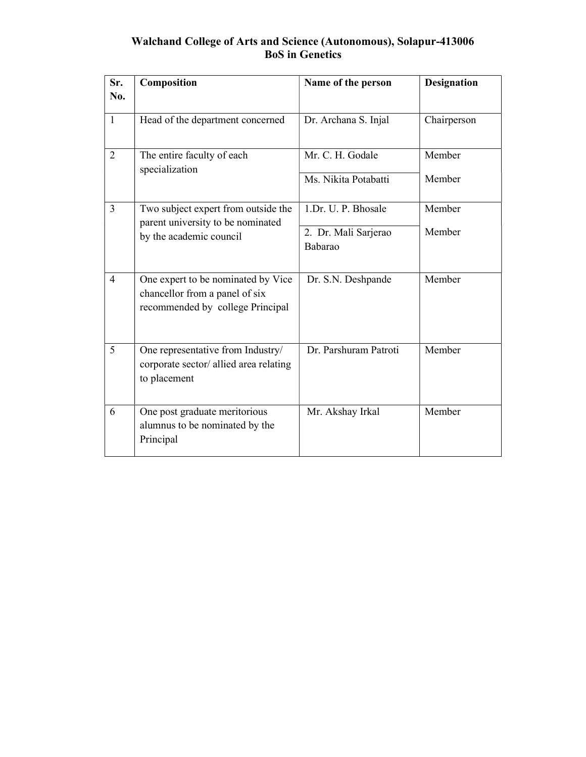#### Walchand College of Arts and Science (Autonomous), Solapur-413006 BoS in Genetics

| Sr.<br>No.     | Composition                                                                                              | Name of the person                                     | <b>Designation</b> |
|----------------|----------------------------------------------------------------------------------------------------------|--------------------------------------------------------|--------------------|
| $\mathbf{1}$   | Head of the department concerned                                                                         | Dr. Archana S. Injal                                   | Chairperson        |
| $\overline{2}$ | The entire faculty of each<br>specialization                                                             | Mr. C. H. Godale<br>Ms. Nikita Potabatti               | Member<br>Member   |
| $\overline{3}$ | Two subject expert from outside the<br>parent university to be nominated<br>by the academic council      | 1.Dr. U. P. Bhosale<br>2. Dr. Mali Sarjerao<br>Babarao | Member<br>Member   |
| 4              | One expert to be nominated by Vice<br>chancellor from a panel of six<br>recommended by college Principal | Dr. S.N. Deshpande                                     | Member             |
| 5              | One representative from Industry/<br>corporate sector/ allied area relating<br>to placement              | Dr. Parshuram Patroti                                  | Member             |
| 6              | One post graduate meritorious<br>alumnus to be nominated by the<br>Principal                             | Mr. Akshay Irkal                                       | Member             |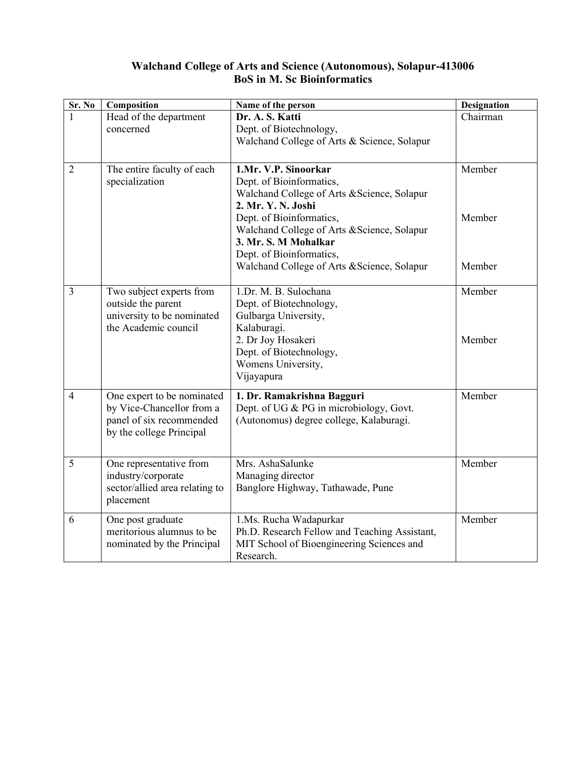#### Walchand College of Arts and Science (Autonomous), Solapur-413006 BoS in M. Sc Bioinformatics

| Sr. No         | Composition                                                                                                     | Name of the person                                                                                                                                                                                                                                                                                  | <b>Designation</b>         |
|----------------|-----------------------------------------------------------------------------------------------------------------|-----------------------------------------------------------------------------------------------------------------------------------------------------------------------------------------------------------------------------------------------------------------------------------------------------|----------------------------|
|                | Head of the department<br>concerned                                                                             | Dr. A. S. Katti<br>Dept. of Biotechnology,<br>Walchand College of Arts & Science, Solapur                                                                                                                                                                                                           | Chairman                   |
| 2              | The entire faculty of each<br>specialization                                                                    | 1.Mr. V.P. Sinoorkar<br>Dept. of Bioinformatics,<br>Walchand College of Arts & Science, Solapur<br>2. Mr. Y. N. Joshi<br>Dept. of Bioinformatics,<br>Walchand College of Arts & Science, Solapur<br>3. Mr. S. M Mohalkar<br>Dept. of Bioinformatics,<br>Walchand College of Arts & Science, Solapur | Member<br>Member<br>Member |
| 3              | Two subject experts from<br>outside the parent<br>university to be nominated<br>the Academic council            | 1.Dr. M. B. Sulochana<br>Dept. of Biotechnology,<br>Gulbarga University,<br>Kalaburagi.<br>2. Dr Joy Hosakeri<br>Dept. of Biotechnology,<br>Womens University,<br>Vijayapura                                                                                                                        | Member<br>Member           |
| $\overline{4}$ | One expert to be nominated<br>by Vice-Chancellor from a<br>panel of six recommended<br>by the college Principal | 1. Dr. Ramakrishna Bagguri<br>Dept. of UG & PG in microbiology, Govt.<br>(Autonomus) degree college, Kalaburagi.                                                                                                                                                                                    | Member                     |
| 5              | One representative from<br>industry/corporate<br>sector/allied area relating to<br>placement                    | Mrs. AshaSalunke<br>Managing director<br>Banglore Highway, Tathawade, Pune                                                                                                                                                                                                                          | Member                     |
| 6              | One post graduate<br>meritorious alumnus to be<br>nominated by the Principal                                    | 1.Ms. Rucha Wadapurkar<br>Ph.D. Research Fellow and Teaching Assistant,<br>MIT School of Bioengineering Sciences and<br>Research.                                                                                                                                                                   | Member                     |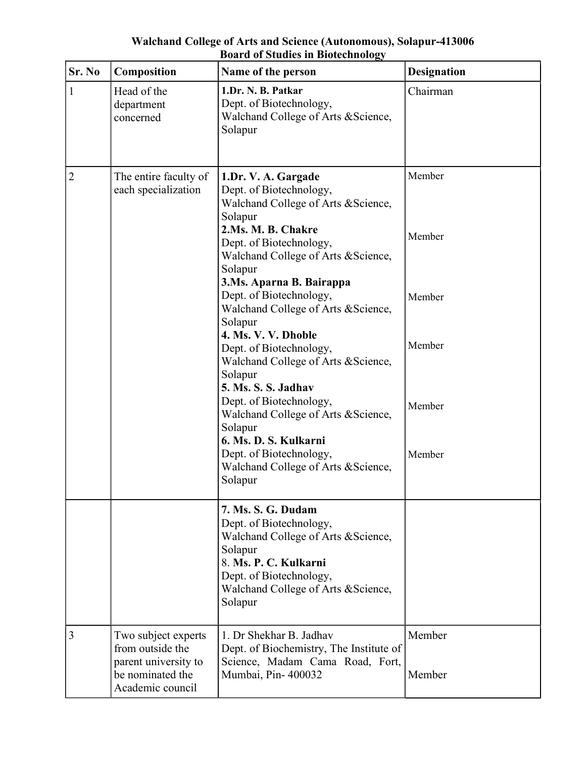#### Walchand College of Arts and Science (Autonomous), Solapur-413006 Board of Studies in Biotechnology

| Sr. No | Composition                                                                                             | Name of the person                                                                                                                                                                                                                                                                                           | <b>Designation</b>         |
|--------|---------------------------------------------------------------------------------------------------------|--------------------------------------------------------------------------------------------------------------------------------------------------------------------------------------------------------------------------------------------------------------------------------------------------------------|----------------------------|
| 1      | Head of the<br>department<br>concerned                                                                  | 1.Dr. N. B. Patkar<br>Dept. of Biotechnology,<br>Walchand College of Arts & Science,<br>Solapur                                                                                                                                                                                                              | Chairman                   |
| 2      | The entire faculty of<br>each specialization                                                            | 1.Dr. V. A. Gargade<br>Dept. of Biotechnology,<br>Walchand College of Arts & Science,<br>Solapur<br>2.Ms. M. B. Chakre<br>Dept. of Biotechnology,<br>Walchand College of Arts & Science,<br>Solapur<br>3.Ms. Aparna B. Bairappa<br>Dept. of Biotechnology,<br>Walchand College of Arts & Science,<br>Solapur | Member<br>Member<br>Member |
|        |                                                                                                         | 4. Ms. V. V. Dhoble<br>Dept. of Biotechnology,<br>Walchand College of Arts & Science,<br>Solapur<br>5. Ms. S. S. Jadhav<br>Dept. of Biotechnology,<br>Walchand College of Arts & Science,<br>Solapur<br>6. Ms. D. S. Kulkarni<br>Dept. of Biotechnology,<br>Walchand College of Arts & Science,<br>Solapur   | Member<br>Member<br>Member |
|        |                                                                                                         | 7. Ms. S. G. Dudam<br>Dept. of Biotechnology,<br>Walchand College of Arts & Science,<br>Solapur<br>8. Ms. P. C. Kulkarni<br>Dept. of Biotechnology,<br>Walchand College of Arts & Science,<br>Solapur                                                                                                        |                            |
| 3      | Two subject experts<br>from outside the<br>parent university to<br>be nominated the<br>Academic council | 1. Dr Shekhar B. Jadhav<br>Dept. of Biochemistry, The Institute of<br>Science, Madam Cama Road, Fort,<br>Mumbai, Pin-400032                                                                                                                                                                                  | Member<br>Member           |